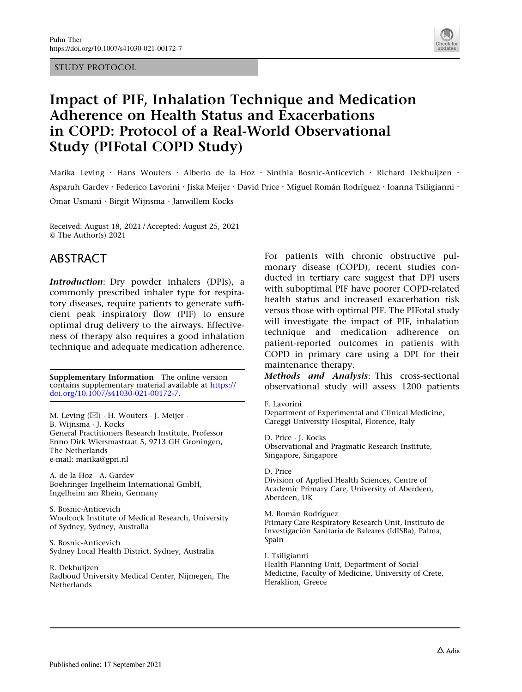STUDY PROTOCOL



# Impact of PIF, Inhalation Technique and Medication Adherence on Health Status and Exacerbations in COPD: Protocol of a Real-World Observational Study (PIFotal COPD Study)

Marika Leving · Hans Wouters · Alberto de la Hoz · Sinthia Bosnic-Anticevich · Richard Dekhuijzen · Asparuh Gardev · Federico Lavorini · Jiska Meijer · David Price · Miguel Román Rodríguez · Ioanna Tsiligianni · Omar Usmani . Birgit Wijnsma . Janwillem Kocks

Received: August 18, 2021 / Accepted: August 25, 2021 © The Author(s) 2021

## ABSTRACT

Introduction: Dry powder inhalers (DPIs), a commonly prescribed inhaler type for respiratory diseases, require patients to generate sufficient peak inspiratory flow (PIF) to ensure optimal drug delivery to the airways. Effectiveness of therapy also requires a good inhalation technique and adequate medication adherence.

Supplementary Information The online version contains supplementary material available at [https://](https://doi.org/10.1007/s41030-021-00172-7) [doi.org/10.1007/s41030-021-00172-7.](https://doi.org/10.1007/s41030-021-00172-7)

M. Leving (⊠) · H. Wouters · J. Meijer · B. Wijnsma - J. Kocks General Practitioners Research Institute, Professor Enno Dirk Wiersmastraat 5, 9713 GH Groningen, The Netherlands e-mail: marika@gpri.nl

A. de la Hoz - A. Gardev Boehringer Ingelheim International GmbH, Ingelheim am Rhein, Germany

S. Bosnic-Anticevich Woolcock Institute of Medical Research, University of Sydney, Sydney, Australia

S. Bosnic-Anticevich Sydney Local Health District, Sydney, Australia

R. Dekhuijzen Radboud University Medical Center, Nijmegen, The **Netherlands** 

For patients with chronic obstructive pulmonary disease (COPD), recent studies conducted in tertiary care suggest that DPI users with suboptimal PIF have poorer COPD-related health status and increased exacerbation risk versus those with optimal PIF. The PIFotal study will investigate the impact of PIF, inhalation technique and medication adherence on patient-reported outcomes in patients with COPD in primary care using a DPI for their maintenance therapy.

Methods and Analysis: This cross-sectional observational study will assess 1200 patients

F. Lavorini

Department of Experimental and Clinical Medicine, Careggi University Hospital, Florence, Italy

D. Price - J. Kocks Observational and Pragmatic Research Institute, Singapore, Singapore

D. Price Division of Applied Health Sciences, Centre of Academic Primary Care, University of Aberdeen, Aberdeen, UK

M. Román Rodríguez Primary Care Respiratory Research Unit, Instituto de Investigación Sanitaria de Baleares (IdISBa), Palma, Spain

I. Tsiligianni Health Planning Unit, Department of Social Medicine, Faculty of Medicine, University of Crete, Heraklion, Greece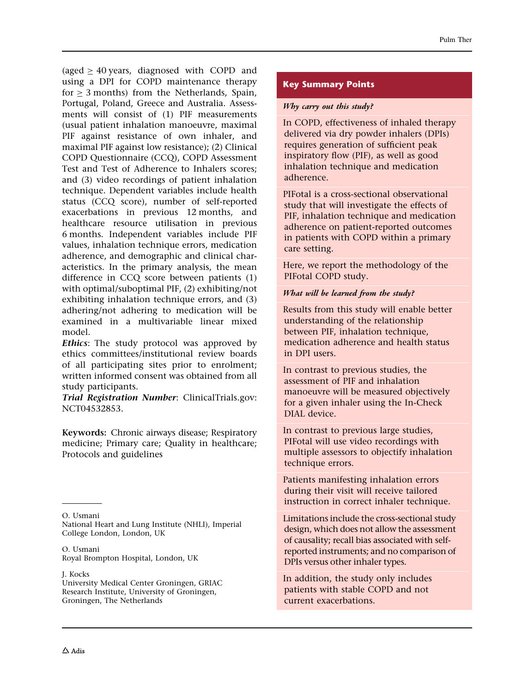(aged  $> 40$  years, diagnosed with COPD and using a DPI for COPD maintenance therapy for  $> 3$  months) from the Netherlands, Spain, Portugal, Poland, Greece and Australia. Assessments will consist of (1) PIF measurements (usual patient inhalation manoeuvre, maximal PIF against resistance of own inhaler, and maximal PIF against low resistance); (2) Clinical COPD Questionnaire (CCQ), COPD Assessment Test and Test of Adherence to Inhalers scores; and (3) video recordings of patient inhalation technique. Dependent variables include health status (CCQ score), number of self-reported exacerbations in previous 12 months, and healthcare resource utilisation in previous 6 months. Independent variables include PIF values, inhalation technique errors, medication adherence, and demographic and clinical characteristics. In the primary analysis, the mean difference in CCQ score between patients (1) with optimal/suboptimal PIF, (2) exhibiting/not exhibiting inhalation technique errors, and (3) adhering/not adhering to medication will be examined in a multivariable linear mixed model.

**Ethics:** The study protocol was approved by ethics committees/institutional review boards of all participating sites prior to enrolment; written informed consent was obtained from all study participants.

Trial Registration Number: ClinicalTrials.gov: NCT04532853.

Keywords: Chronic airways disease; Respiratory medicine; Primary care; Quality in healthcare; Protocols and guidelines

O. Usmani National Heart and Lung Institute (NHLI), Imperial College London, London, UK

J. Kocks

University Medical Center Groningen, GRIAC Research Institute, University of Groningen, Groningen, The Netherlands

#### Key Summary Points

#### Why carry out this study?

In COPD, effectiveness of inhaled therapy delivered via dry powder inhalers (DPIs) requires generation of sufficient peak inspiratory flow (PIF), as well as good inhalation technique and medication adherence.

PIFotal is a cross-sectional observational study that will investigate the effects of PIF, inhalation technique and medication adherence on patient-reported outcomes in patients with COPD within a primary care setting.

Here, we report the methodology of the PIFotal COPD study.

#### What will be learned from the study?

Results from this study will enable better understanding of the relationship between PIF, inhalation technique, medication adherence and health status in DPI users.

In contrast to previous studies, the assessment of PIF and inhalation manoeuvre will be measured objectively for a given inhaler using the In-Check DIAL device.

In contrast to previous large studies, PIFotal will use video recordings with multiple assessors to objectify inhalation technique errors.

Patients manifesting inhalation errors during their visit will receive tailored instruction in correct inhaler technique.

Limitations include the cross-sectional study design, which does not allow the assessment of causality; recall bias associated with selfreported instruments; and no comparison of DPIs versus other inhaler types.

In addition, the study only includes patients with stable COPD and not current exacerbations.

O. Usmani Royal Brompton Hospital, London, UK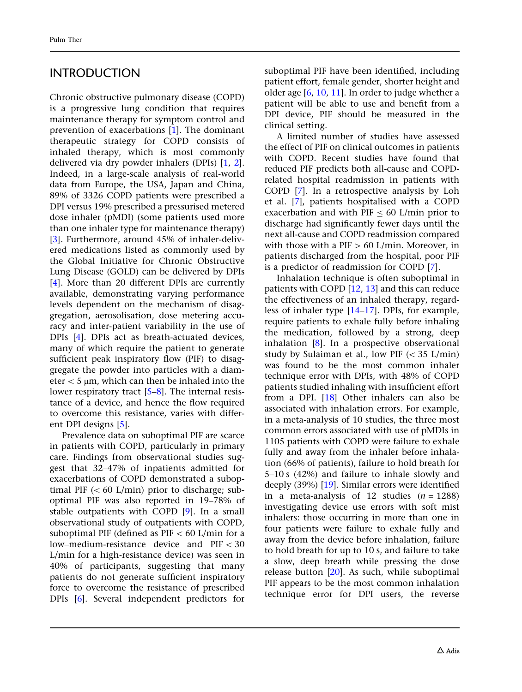## INTRODUCTION

Chronic obstructive pulmonary disease (COPD) is a progressive lung condition that requires maintenance therapy for symptom control and prevention of exacerbations [[1](#page-12-0)]. The dominant therapeutic strategy for COPD consists of inhaled therapy, which is most commonly delivered via dry powder inhalers (DPIs) [[1,](#page-12-0) [2\]](#page-12-0). Indeed, in a large-scale analysis of real-world data from Europe, the USA, Japan and China, 89% of 3326 COPD patients were prescribed a DPI versus 19% prescribed a pressurised metered dose inhaler (pMDI) (some patients used more than one inhaler type for maintenance therapy) [\[3\]](#page-12-0). Furthermore, around 45% of inhaler-delivered medications listed as commonly used by the Global Initiative for Chronic Obstructive Lung Disease (GOLD) can be delivered by DPIs [\[4\]](#page-13-0). More than 20 different DPIs are currently available, demonstrating varying performance levels dependent on the mechanism of disaggregation, aerosolisation, dose metering accuracy and inter-patient variability in the use of DPIs [[4](#page-13-0)]. DPIs act as breath-actuated devices, many of which require the patient to generate sufficient peak inspiratory flow (PIF) to disaggregate the powder into particles with a diameter  $<$  5  $\mu$ m, which can then be inhaled into the lower respiratory tract [[5–8](#page-13-0)]. The internal resistance of a device, and hence the flow required to overcome this resistance, varies with different DPI designs [[5](#page-13-0)].

Prevalence data on suboptimal PIF are scarce in patients with COPD, particularly in primary care. Findings from observational studies suggest that 32–47% of inpatients admitted for exacerbations of COPD demonstrated a suboptimal PIF  $(< 60$  L/min) prior to discharge; suboptimal PIF was also reported in 19–78% of stable outpatients with COPD [\[9](#page-13-0)]. In a small observational study of outpatients with COPD, suboptimal PIF (defined as  $PIF < 60$  L/min for a low–medium-resistance device and  $PIF < 30$ L/min for a high-resistance device) was seen in 40% of participants, suggesting that many patients do not generate sufficient inspiratory force to overcome the resistance of prescribed DPIs [[6\]](#page-13-0). Several independent predictors for suboptimal PIF have been identified, including patient effort, female gender, shorter height and older age [[6](#page-13-0), [10](#page-13-0), [11](#page-13-0)]. In order to judge whether a patient will be able to use and benefit from a DPI device, PIF should be measured in the clinical setting.

A limited number of studies have assessed the effect of PIF on clinical outcomes in patients with COPD. Recent studies have found that reduced PIF predicts both all-cause and COPDrelated hospital readmission in patients with COPD [[7](#page-13-0)]. In a retrospective analysis by Loh et al. [\[7\]](#page-13-0), patients hospitalised with a COPD exacerbation and with PIF  $\leq 60$  L/min prior to discharge had significantly fewer days until the next all-cause and COPD readmission compared with those with a PIF  $> 60$  L/min. Moreover, in patients discharged from the hospital, poor PIF is a predictor of readmission for COPD [[7\]](#page-13-0).

Inhalation technique is often suboptimal in patients with COPD [\[12,](#page-13-0) [13\]](#page-13-0) and this can reduce the effectiveness of an inhaled therapy, regardless of inhaler type [\[14–17](#page-13-0)]. DPIs, for example, require patients to exhale fully before inhaling the medication, followed by a strong, deep inhalation [[8](#page-13-0)]. In a prospective observational study by Sulaiman et al., low PIF  $(< 35$  L/min) was found to be the most common inhaler technique error with DPIs, with 48% of COPD patients studied inhaling with insufficient effort from a DPI. [\[18\]](#page-13-0) Other inhalers can also be associated with inhalation errors. For example, in a meta-analysis of 10 studies, the three most common errors associated with use of pMDIs in 1105 patients with COPD were failure to exhale fully and away from the inhaler before inhalation (66% of patients), failure to hold breath for 5–10 s (42%) and failure to inhale slowly and deeply (39%) [\[19\]](#page-13-0). Similar errors were identified in a meta-analysis of 12 studies  $(n = 1288)$ investigating device use errors with soft mist inhalers: those occurring in more than one in four patients were failure to exhale fully and away from the device before inhalation, failure to hold breath for up to 10 s, and failure to take a slow, deep breath while pressing the dose release button [\[20\]](#page-13-0). As such, while suboptimal PIF appears to be the most common inhalation technique error for DPI users, the reverse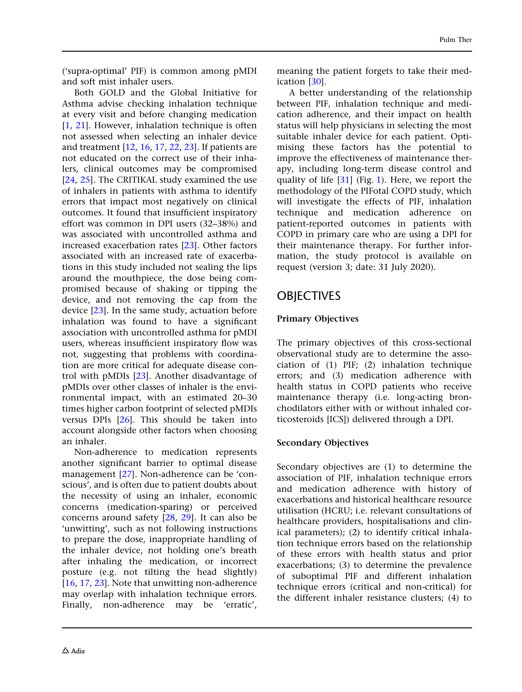('supra-optimal' PIF) is common among pMDI and soft mist inhaler users.

Both GOLD and the Global Initiative for Asthma advise checking inhalation technique at every visit and before changing medication [\[1,](#page-12-0) [21\]](#page-13-0). However, inhalation technique is often not assessed when selecting an inhaler device and treatment [[12](#page-13-0), [16](#page-13-0), [17,](#page-13-0) [22,](#page-13-0) [23\]](#page-13-0). If patients are not educated on the correct use of their inhalers, clinical outcomes may be compromised [\[24,](#page-13-0) [25](#page-13-0)]. The CRITIKAL study examined the use of inhalers in patients with asthma to identify errors that impact most negatively on clinical outcomes. It found that insufficient inspiratory effort was common in DPI users (32–38%) and was associated with uncontrolled asthma and increased exacerbation rates [\[23\]](#page-13-0). Other factors associated with an increased rate of exacerbations in this study included not sealing the lips around the mouthpiece, the dose being compromised because of shaking or tipping the device, and not removing the cap from the device [[23](#page-13-0)]. In the same study, actuation before inhalation was found to have a significant association with uncontrolled asthma for pMDI users, whereas insufficient inspiratory flow was not, suggesting that problems with coordination are more critical for adequate disease control with pMDIs [\[23\]](#page-13-0). Another disadvantage of pMDIs over other classes of inhaler is the environmental impact, with an estimated 20–30 times higher carbon footprint of selected pMDIs versus DPIs [[26\]](#page-13-0). This should be taken into account alongside other factors when choosing an inhaler.

Non-adherence to medication represents another significant barrier to optimal disease management [\[27\]](#page-14-0). Non-adherence can be 'conscious', and is often due to patient doubts about the necessity of using an inhaler, economic concerns (medication-sparing) or perceived concerns around safety [\[28,](#page-14-0) [29](#page-14-0)]. It can also be 'unwitting', such as not following instructions to prepare the dose, inappropriate handling of the inhaler device, not holding one's breath after inhaling the medication, or incorrect posture (e.g. not tilting the head slightly) [\[16,](#page-13-0) [17](#page-13-0), [23](#page-13-0)]. Note that unwitting non-adherence may overlap with inhalation technique errors. Finally, non-adherence may be 'erratic',

meaning the patient forgets to take their medication [\[30\]](#page-14-0).

A better understanding of the relationship between PIF, inhalation technique and medication adherence, and their impact on health status will help physicians in selecting the most suitable inhaler device for each patient. Optimising these factors has the potential to improve the effectiveness of maintenance therapy, including long-term disease control and quality of life [[31](#page-14-0)] (Fig. [1](#page-4-0)). Here, we report the methodology of the PIFotal COPD study, which will investigate the effects of PIF, inhalation technique and medication adherence on patient-reported outcomes in patients with COPD in primary care who are using a DPI for their maintenance therapy. For further information, the study protocol is available on request (version 3; date: 31 July 2020).

## **OBJECTIVES**

#### Primary Objectives

The primary objectives of this cross-sectional observational study are to determine the association of (1) PIF; (2) inhalation technique errors; and (3) medication adherence with health status in COPD patients who receive maintenance therapy (i.e. long-acting bronchodilators either with or without inhaled corticosteroids [ICS]) delivered through a DPI.

#### Secondary Objectives

Secondary objectives are (1) to determine the association of PIF, inhalation technique errors and medication adherence with history of exacerbations and historical healthcare resource utilisation (HCRU; i.e. relevant consultations of healthcare providers, hospitalisations and clinical parameters); (2) to identify critical inhalation technique errors based on the relationship of these errors with health status and prior exacerbations; (3) to determine the prevalence of suboptimal PIF and different inhalation technique errors (critical and non-critical) for the different inhaler resistance clusters; (4) to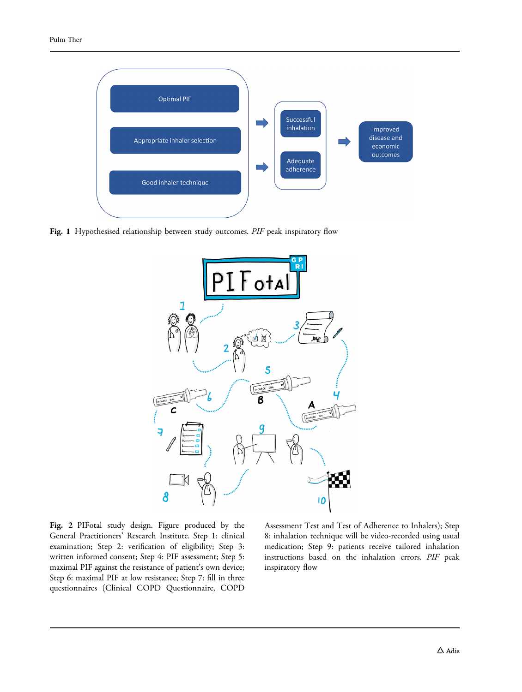<span id="page-4-0"></span>

Fig. 1 Hypothesised relationship between study outcomes. PIF peak inspiratory flow



Fig. 2 PIFotal study design. Figure produced by the General Practitioners' Research Institute. Step 1: clinical examination; Step 2: verification of eligibility; Step 3: written informed consent; Step 4: PIF assessment; Step 5: maximal PIF against the resistance of patient's own device; Step 6: maximal PIF at low resistance; Step 7: fill in three questionnaires (Clinical COPD Questionnaire, COPD

Assessment Test and Test of Adherence to Inhalers); Step 8: inhalation technique will be video-recorded using usual medication; Step 9: patients receive tailored inhalation instructions based on the inhalation errors. PIF peak inspiratory flow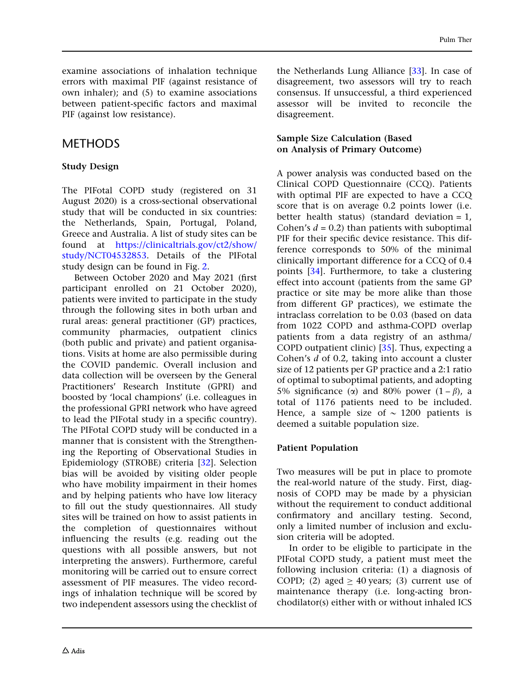examine associations of inhalation technique errors with maximal PIF (against resistance of own inhaler); and (5) to examine associations between patient-specific factors and maximal PIF (against low resistance).

## METHODS

### Study Design

The PIFotal COPD study (registered on 31 August 2020) is a cross-sectional observational study that will be conducted in six countries: the Netherlands, Spain, Portugal, Poland, Greece and Australia. A list of study sites can be found at [https://clinicaltrials.gov/ct2/show/](https://clinicaltrials.gov/ct2/show/study/NCT04532853) [study/NCT04532853](https://clinicaltrials.gov/ct2/show/study/NCT04532853). Details of the PIFotal study design can be found in Fig. [2](#page-4-0).

Between October 2020 and May 2021 (first participant enrolled on 21 October 2020), patients were invited to participate in the study through the following sites in both urban and rural areas: general practitioner (GP) practices, community pharmacies, outpatient clinics (both public and private) and patient organisations. Visits at home are also permissible during the COVID pandemic. Overall inclusion and data collection will be overseen by the General Practitioners' Research Institute (GPRI) and boosted by 'local champions' (i.e. colleagues in the professional GPRI network who have agreed to lead the PIFotal study in a specific country). The PIFotal COPD study will be conducted in a manner that is consistent with the Strengthening the Reporting of Observational Studies in Epidemiology (STROBE) criteria [[32](#page-14-0)]. Selection bias will be avoided by visiting older people who have mobility impairment in their homes and by helping patients who have low literacy to fill out the study questionnaires. All study sites will be trained on how to assist patients in the completion of questionnaires without influencing the results (e.g. reading out the questions with all possible answers, but not interpreting the answers). Furthermore, careful monitoring will be carried out to ensure correct assessment of PIF measures. The video recordings of inhalation technique will be scored by two independent assessors using the checklist of the Netherlands Lung Alliance [[33](#page-14-0)]. In case of disagreement, two assessors will try to reach consensus. If unsuccessful, a third experienced assessor will be invited to reconcile the disagreement.

#### Sample Size Calculation (Based on Analysis of Primary Outcome)

A power analysis was conducted based on the Clinical COPD Questionnaire (CCQ). Patients with optimal PIF are expected to have a CCQ score that is on average 0.2 points lower (i.e. better health status) (standard deviation  $= 1$ , Cohen's  $d = 0.2$ ) than patients with suboptimal PIF for their specific device resistance. This difference corresponds to 50% of the minimal clinically important difference for a CCQ of 0.4 points [[34](#page-14-0)]. Furthermore, to take a clustering effect into account (patients from the same GP practice or site may be more alike than those from different GP practices), we estimate the intraclass correlation to be 0.03 (based on data from 1022 COPD and asthma-COPD overlap patients from a data registry of an asthma/ COPD outpatient clinic) [[35](#page-14-0)]. Thus, expecting a Cohen's d of 0.2, taking into account a cluster size of 12 patients per GP practice and a 2:1 ratio of optimal to suboptimal patients, and adopting 5% significance ( $\alpha$ ) and 80% power (1 –  $\beta$ ), a total of 1176 patients need to be included. Hence, a sample size of  $\sim$  1200 patients is deemed a suitable population size.

#### Patient Population

Two measures will be put in place to promote the real-world nature of the study. First, diagnosis of COPD may be made by a physician without the requirement to conduct additional confirmatory and ancillary testing. Second, only a limited number of inclusion and exclusion criteria will be adopted.

In order to be eligible to participate in the PIFotal COPD study, a patient must meet the following inclusion criteria: (1) a diagnosis of COPD; (2) aged  $> 40$  years; (3) current use of maintenance therapy (i.e. long-acting bronchodilator(s) either with or without inhaled ICS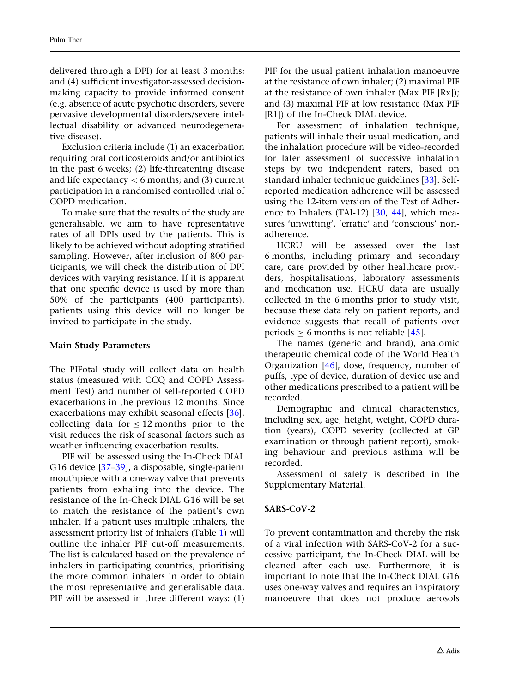delivered through a DPI) for at least 3 months; and (4) sufficient investigator-assessed decisionmaking capacity to provide informed consent (e.g. absence of acute psychotic disorders, severe pervasive developmental disorders/severe intellectual disability or advanced neurodegenerative disease).

Exclusion criteria include (1) an exacerbation requiring oral corticosteroids and/or antibiotics in the past 6 weeks; (2) life-threatening disease and life expectancy  $< 6$  months; and (3) current participation in a randomised controlled trial of COPD medication.

To make sure that the results of the study are generalisable, we aim to have representative rates of all DPIs used by the patients. This is likely to be achieved without adopting stratified sampling. However, after inclusion of 800 participants, we will check the distribution of DPI devices with varying resistance. If it is apparent that one specific device is used by more than 50% of the participants (400 participants), patients using this device will no longer be invited to participate in the study.

#### Main Study Parameters

The PIFotal study will collect data on health status (measured with CCQ and COPD Assessment Test) and number of self-reported COPD exacerbations in the previous 12 months. Since exacerbations may exhibit seasonal effects [[36\]](#page-14-0), collecting data for  $\leq 12$  months prior to the visit reduces the risk of seasonal factors such as weather influencing exacerbation results.

PIF will be assessed using the In-Check DIAL G16 device [\[37–39](#page-14-0)], a disposable, single-patient mouthpiece with a one-way valve that prevents patients from exhaling into the device. The resistance of the In-Check DIAL G16 will be set to match the resistance of the patient's own inhaler. If a patient uses multiple inhalers, the assessment priority list of inhalers (Table [1\)](#page-7-0) will outline the inhaler PIF cut-off measurements. The list is calculated based on the prevalence of inhalers in participating countries, prioritising the more common inhalers in order to obtain the most representative and generalisable data. PIF will be assessed in three different ways: (1)

PIF for the usual patient inhalation manoeuvre at the resistance of own inhaler; (2) maximal PIF at the resistance of own inhaler (Max PIF [Rx]); and (3) maximal PIF at low resistance (Max PIF [R1]) of the In-Check DIAL device.

For assessment of inhalation technique, patients will inhale their usual medication, and the inhalation procedure will be video-recorded for later assessment of successive inhalation steps by two independent raters, based on standard inhaler technique guidelines [\[33\]](#page-14-0). Selfreported medication adherence will be assessed using the 12-item version of the Test of Adherence to Inhalers (TAI-12) [\[30,](#page-14-0) [44](#page-14-0)], which measures 'unwitting', 'erratic' and 'conscious' nonadherence.

HCRU will be assessed over the last 6 months, including primary and secondary care, care provided by other healthcare providers, hospitalisations, laboratory assessments and medication use. HCRU data are usually collected in the 6 months prior to study visit, because these data rely on patient reports, and evidence suggests that recall of patients over periods  $\geq 6$  months is not reliable [[45](#page-14-0)].

The names (generic and brand), anatomic therapeutic chemical code of the World Health Organization [[46](#page-14-0)], dose, frequency, number of puffs, type of device, duration of device use and other medications prescribed to a patient will be recorded.

Demographic and clinical characteristics, including sex, age, height, weight, COPD duration (years), COPD severity (collected at GP examination or through patient report), smoking behaviour and previous asthma will be recorded.

Assessment of safety is described in the Supplementary Material.

#### SARS-CoV-2

To prevent contamination and thereby the risk of a viral infection with SARS-CoV-2 for a successive participant, the In-Check DIAL will be cleaned after each use. Furthermore, it is important to note that the In-Check DIAL G16 uses one-way valves and requires an inspiratory manoeuvre that does not produce aerosols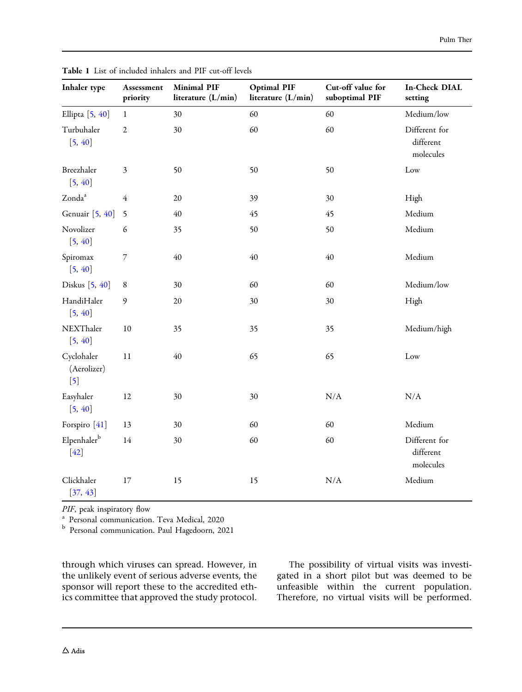| Inhaler type                                                   | Assessment<br>priority   | <b>Minimal PIF</b><br>literature (L/min) | <b>Optimal PIF</b><br>literature (L/min) | Cut-off value for<br>suboptimal PIF | <b>In-Check DIAL</b><br>setting         |
|----------------------------------------------------------------|--------------------------|------------------------------------------|------------------------------------------|-------------------------------------|-----------------------------------------|
| Ellipta [5, 40]                                                | $\mathbf{1}$             | 30                                       | 60                                       | 60                                  | Medium/low                              |
| Turbuhaler<br>[5, 40]                                          | $\overline{2}$           | 30                                       | 60                                       | 60                                  | Different for<br>different<br>molecules |
| Breezhaler<br>[5, 40]                                          | $\mathfrak{Z}$           | 50                                       | 50                                       | 50                                  | Low                                     |
| Zonda <sup>a</sup>                                             | 4                        | 20                                       | 39                                       | 30                                  | High                                    |
| Genuair [5, 40]                                                | 5                        | $40\,$                                   | 45                                       | 45                                  | Medium                                  |
| Novolizer<br>[5, 40]                                           | 6                        | 35                                       | 50                                       | 50                                  | Medium                                  |
| Spiromax<br>[5, 40]                                            | $\overline{\phantom{a}}$ | 40                                       | 40                                       | 40                                  | Medium                                  |
| Diskus [5, 40]                                                 | $\,8\,$                  | 30                                       | 60                                       | 60                                  | Medium/low                              |
| HandiHaler<br>[5, 40]                                          | 9                        | 20                                       | 30                                       | 30                                  | High                                    |
| NEXThaler<br>[5, 40]                                           | 10                       | 35                                       | 35                                       | 35                                  | Medium/high                             |
| Cyclohaler<br>(Aerolizer)<br>$\begin{bmatrix} 5 \end{bmatrix}$ | 11                       | $40\,$                                   | 65                                       | 65                                  | Low                                     |
| Easyhaler<br>[5, 40]                                           | 12                       | 30                                       | 30                                       | N/A                                 | $\rm N/A$                               |
| Forspiro [41]                                                  | 13                       | 30                                       | 60                                       | 60                                  | Medium                                  |
| Elpenhalerb<br>$[42]$                                          | 14                       | 30                                       | 60                                       | 60                                  | Different for<br>different<br>molecules |
| Clickhaler<br>[37, 43]                                         | 17                       | 15                                       | 15                                       | N/A                                 | Medium                                  |

<span id="page-7-0"></span>Table 1 List of included inhalers and PIF cut-off levels

PIF, peak inspiratory flow<br><sup>a</sup> Personal communication. Teva Medical, 2020

<sup>b</sup> Personal communication. Paul Hagedoorn, 2021

through which viruses can spread. However, in the unlikely event of serious adverse events, the sponsor will report these to the accredited ethics committee that approved the study protocol.

The possibility of virtual visits was investigated in a short pilot but was deemed to be unfeasible within the current population. Therefore, no virtual visits will be performed.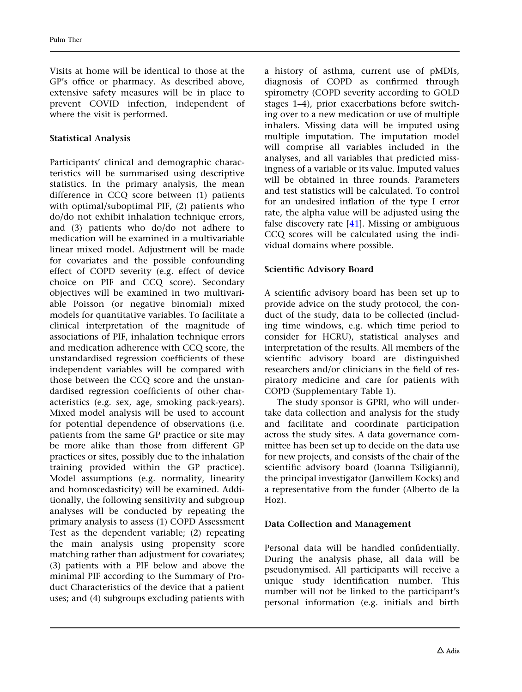Visits at home will be identical to those at the GP's office or pharmacy. As described above, extensive safety measures will be in place to prevent COVID infection, independent of where the visit is performed.

#### Statistical Analysis

Participants' clinical and demographic characteristics will be summarised using descriptive statistics. In the primary analysis, the mean difference in CCQ score between (1) patients with optimal/suboptimal PIF, (2) patients who do/do not exhibit inhalation technique errors, and (3) patients who do/do not adhere to medication will be examined in a multivariable linear mixed model. Adjustment will be made for covariates and the possible confounding effect of COPD severity (e.g. effect of device choice on PIF and CCQ score). Secondary objectives will be examined in two multivariable Poisson (or negative binomial) mixed models for quantitative variables. To facilitate a clinical interpretation of the magnitude of associations of PIF, inhalation technique errors and medication adherence with CCQ score, the unstandardised regression coefficients of these independent variables will be compared with those between the CCQ score and the unstandardised regression coefficients of other characteristics (e.g. sex, age, smoking pack-years). Mixed model analysis will be used to account for potential dependence of observations (i.e. patients from the same GP practice or site may be more alike than those from different GP practices or sites, possibly due to the inhalation training provided within the GP practice). Model assumptions (e.g. normality, linearity and homoscedasticity) will be examined. Additionally, the following sensitivity and subgroup analyses will be conducted by repeating the primary analysis to assess (1) COPD Assessment Test as the dependent variable; (2) repeating the main analysis using propensity score matching rather than adjustment for covariates; (3) patients with a PIF below and above the minimal PIF according to the Summary of Product Characteristics of the device that a patient uses; and (4) subgroups excluding patients with

a history of asthma, current use of pMDIs, diagnosis of COPD as confirmed through spirometry (COPD severity according to GOLD stages 1–4), prior exacerbations before switching over to a new medication or use of multiple inhalers. Missing data will be imputed using multiple imputation. The imputation model will comprise all variables included in the analyses, and all variables that predicted missingness of a variable or its value. Imputed values will be obtained in three rounds. Parameters and test statistics will be calculated. To control for an undesired inflation of the type I error rate, the alpha value will be adjusted using the false discovery rate  $[41]$  $[41]$  $[41]$ . Missing or ambiguous CCQ scores will be calculated using the individual domains where possible.

#### Scientific Advisory Board

A scientific advisory board has been set up to provide advice on the study protocol, the conduct of the study, data to be collected (including time windows, e.g. which time period to consider for HCRU), statistical analyses and interpretation of the results. All members of the scientific advisory board are distinguished researchers and/or clinicians in the field of respiratory medicine and care for patients with COPD (Supplementary Table 1).

The study sponsor is GPRI, who will undertake data collection and analysis for the study and facilitate and coordinate participation across the study sites. A data governance committee has been set up to decide on the data use for new projects, and consists of the chair of the scientific advisory board (Ioanna Tsiligianni), the principal investigator (Janwillem Kocks) and a representative from the funder (Alberto de la Hoz).

#### Data Collection and Management

Personal data will be handled confidentially. During the analysis phase, all data will be pseudonymised. All participants will receive a unique study identification number. This number will not be linked to the participant's personal information (e.g. initials and birth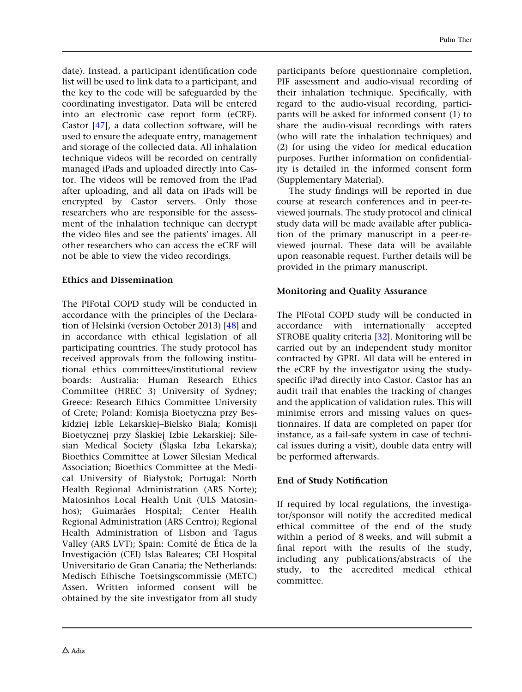date). Instead, a participant identification code list will be used to link data to a participant, and the key to the code will be safeguarded by the coordinating investigator. Data will be entered into an electronic case report form (eCRF). Castor [[47\]](#page-14-0), a data collection software, will be used to ensure the adequate entry, management and storage of the collected data. All inhalation technique videos will be recorded on centrally managed iPads and uploaded directly into Castor. The videos will be removed from the iPad after uploading, and all data on iPads will be encrypted by Castor servers. Only those researchers who are responsible for the assessment of the inhalation technique can decrypt the video files and see the patients' images. All other researchers who can access the eCRF will not be able to view the video recordings.

#### Ethics and Dissemination

The PIFotal COPD study will be conducted in accordance with the principles of the Declaration of Helsinki (version October 2013) [\[48\]](#page-14-0) and in accordance with ethical legislation of all participating countries. The study protocol has received approvals from the following institutional ethics committees/institutional review boards: Australia: Human Research Ethics Committee (HREC 3) University of Sydney; Greece: Research Ethics Committee University of Crete; Poland: Komisja Bioetyczna przy Beskidziej Izble Lekarskiej–Bielsko Biala; Komisji Bioetycznej przy Śląskiej Izbie Lekarskiej; Silesian Medical Society (Slaska Izba Lekarska); Bioethics Committee at Lower Silesian Medical Association; Bioethics Committee at the Medical University of Białystok; Portugal: North Health Regional Administration (ARS Norte); Matosinhos Local Health Unit (ULS Matosinhos); Guimarães Hospital; Center Health Regional Administration (ARS Centro); Regional Health Administration of Lisbon and Tagus Valley (ARS LVT); Spain: Comité de Ética de la Investigación (CEI) Islas Baleares; CEI Hospital Universitario de Gran Canaria; the Netherlands: Medisch Ethische Toetsingscommissie (METC) Assen. Written informed consent will be obtained by the site investigator from all study participants before questionnaire completion, PIF assessment and audio-visual recording of their inhalation technique. Specifically, with regard to the audio-visual recording, participants will be asked for informed consent (1) to share the audio-visual recordings with raters (who will rate the inhalation techniques) and (2) for using the video for medical education purposes. Further information on confidentiality is detailed in the informed consent form (Supplementary Material).

The study findings will be reported in due course at research conferences and in peer-reviewed journals. The study protocol and clinical study data will be made available after publication of the primary manuscript in a peer-reviewed journal. These data will be available upon reasonable request. Further details will be provided in the primary manuscript.

#### Monitoring and Quality Assurance

The PIFotal COPD study will be conducted in accordance with internationally accepted STROBE quality criteria [[32](#page-14-0)]. Monitoring will be carried out by an independent study monitor contracted by GPRI. All data will be entered in the eCRF by the investigator using the studyspecific iPad directly into Castor. Castor has an audit trail that enables the tracking of changes and the application of validation rules. This will minimise errors and missing values on questionnaires. If data are completed on paper (for instance, as a fail-safe system in case of technical issues during a visit), double data entry will be performed afterwards.

### End of Study Notification

If required by local regulations, the investigator/sponsor will notify the accredited medical ethical committee of the end of the study within a period of 8 weeks, and will submit a final report with the results of the study, including any publications/abstracts of the study, to the accredited medical ethical committee.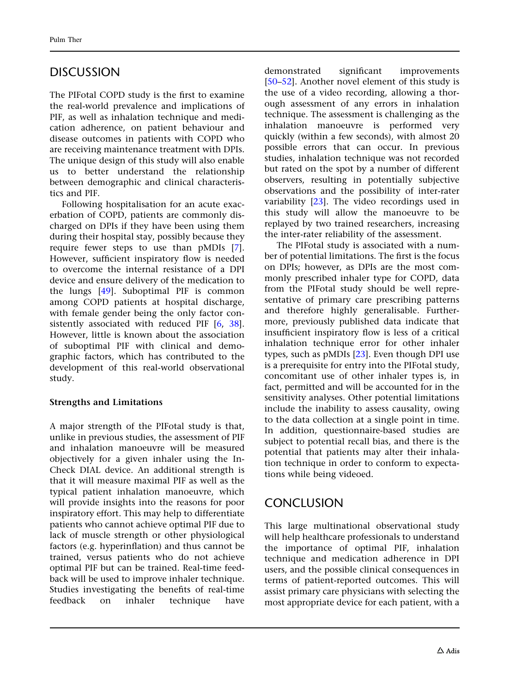# DISCUSSION

The PIFotal COPD study is the first to examine the real-world prevalence and implications of PIF, as well as inhalation technique and medication adherence, on patient behaviour and disease outcomes in patients with COPD who are receiving maintenance treatment with DPIs. The unique design of this study will also enable us to better understand the relationship between demographic and clinical characteristics and PIF.

Following hospitalisation for an acute exacerbation of COPD, patients are commonly discharged on DPIs if they have been using them during their hospital stay, possibly because they require fewer steps to use than pMDIs [\[7\]](#page-13-0). However, sufficient inspiratory flow is needed to overcome the internal resistance of a DPI device and ensure delivery of the medication to the lungs [\[49\]](#page-15-0). Suboptimal PIF is common among COPD patients at hospital discharge, with female gender being the only factor consistently associated with reduced PIF [\[6,](#page-13-0) [38\]](#page-14-0). However, little is known about the association of suboptimal PIF with clinical and demographic factors, which has contributed to the development of this real-world observational study.

### Strengths and Limitations

A major strength of the PIFotal study is that, unlike in previous studies, the assessment of PIF and inhalation manoeuvre will be measured objectively for a given inhaler using the In-Check DIAL device. An additional strength is that it will measure maximal PIF as well as the typical patient inhalation manoeuvre, which will provide insights into the reasons for poor inspiratory effort. This may help to differentiate patients who cannot achieve optimal PIF due to lack of muscle strength or other physiological factors (e.g. hyperinflation) and thus cannot be trained, versus patients who do not achieve optimal PIF but can be trained. Real-time feedback will be used to improve inhaler technique. Studies investigating the benefits of real-time feedback on inhaler technique have

demonstrated significant improvements [\[50–52](#page-15-0)]. Another novel element of this study is the use of a video recording, allowing a thorough assessment of any errors in inhalation technique. The assessment is challenging as the inhalation manoeuvre is performed very quickly (within a few seconds), with almost 20 possible errors that can occur. In previous studies, inhalation technique was not recorded but rated on the spot by a number of different observers, resulting in potentially subjective observations and the possibility of inter-rater variability [[23](#page-13-0)]. The video recordings used in this study will allow the manoeuvre to be replayed by two trained researchers, increasing the inter-rater reliability of the assessment.

The PIFotal study is associated with a number of potential limitations. The first is the focus on DPIs; however, as DPIs are the most commonly prescribed inhaler type for COPD, data from the PIFotal study should be well representative of primary care prescribing patterns and therefore highly generalisable. Furthermore, previously published data indicate that insufficient inspiratory flow is less of a critical inhalation technique error for other inhaler types, such as pMDIs [[23](#page-13-0)]. Even though DPI use is a prerequisite for entry into the PIFotal study, concomitant use of other inhaler types is, in fact, permitted and will be accounted for in the sensitivity analyses. Other potential limitations include the inability to assess causality, owing to the data collection at a single point in time. In addition, questionnaire-based studies are subject to potential recall bias, and there is the potential that patients may alter their inhalation technique in order to conform to expectations while being videoed.

# **CONCLUSION**

This large multinational observational study will help healthcare professionals to understand the importance of optimal PIF, inhalation technique and medication adherence in DPI users, and the possible clinical consequences in terms of patient-reported outcomes. This will assist primary care physicians with selecting the most appropriate device for each patient, with a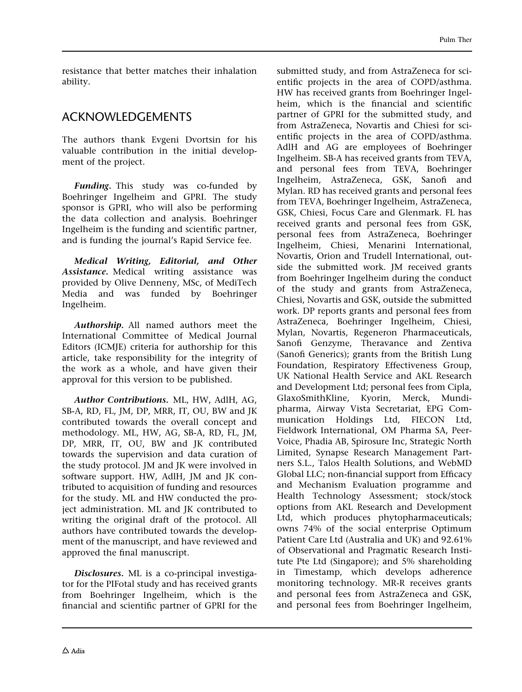resistance that better matches their inhalation ability.

## ACKNOWLEDGEMENTS

The authors thank Evgeni Dvortsin for his valuable contribution in the initial development of the project.

Funding. This study was co-funded by Boehringer Ingelheim and GPRI. The study sponsor is GPRI, who will also be performing the data collection and analysis. Boehringer Ingelheim is the funding and scientific partner, and is funding the journal's Rapid Service fee.

Medical Writing, Editorial, and Other Assistance. Medical writing assistance was provided by Olive Denneny, MSc, of MediTech Media and was funded by Boehringer Ingelheim.

Authorship. All named authors meet the International Committee of Medical Journal Editors (ICMJE) criteria for authorship for this article, take responsibility for the integrity of the work as a whole, and have given their approval for this version to be published.

Author Contributions. ML, HW, AdlH, AG, SB-A, RD, FL, JM, DP, MRR, IT, OU, BW and JK contributed towards the overall concept and methodology. ML, HW, AG, SB-A, RD, FL, JM, DP, MRR, IT, OU, BW and JK contributed towards the supervision and data curation of the study protocol. JM and JK were involved in software support. HW, AdlH, JM and JK contributed to acquisition of funding and resources for the study. ML and HW conducted the project administration. ML and JK contributed to writing the original draft of the protocol. All authors have contributed towards the development of the manuscript, and have reviewed and approved the final manuscript.

Disclosures. ML is a co-principal investigator for the PIFotal study and has received grants from Boehringer Ingelheim, which is the financial and scientific partner of GPRI for the submitted study, and from AstraZeneca for scientific projects in the area of COPD/asthma. HW has received grants from Boehringer Ingelheim, which is the financial and scientific partner of GPRI for the submitted study, and from AstraZeneca, Novartis and Chiesi for scientific projects in the area of COPD/asthma. AdlH and AG are employees of Boehringer Ingelheim. SB-A has received grants from TEVA, and personal fees from TEVA, Boehringer Ingelheim, AstraZeneca, GSK, Sanofi and Mylan. RD has received grants and personal fees from TEVA, Boehringer Ingelheim, AstraZeneca, GSK, Chiesi, Focus Care and Glenmark. FL has received grants and personal fees from GSK, personal fees from AstraZeneca, Boehringer Ingelheim, Chiesi, Menarini International, Novartis, Orion and Trudell International, outside the submitted work. JM received grants from Boehringer Ingelheim during the conduct of the study and grants from AstraZeneca, Chiesi, Novartis and GSK, outside the submitted work. DP reports grants and personal fees from AstraZeneca, Boehringer Ingelheim, Chiesi, Mylan, Novartis, Regeneron Pharmaceuticals, Sanofi Genzyme, Theravance and Zentiva (Sanofi Generics); grants from the British Lung Foundation, Respiratory Effectiveness Group, UK National Health Service and AKL Research and Development Ltd; personal fees from Cipla, GlaxoSmithKline, Kyorin, Merck, Mundipharma, Airway Vista Secretariat, EPG Communication Holdings Ltd, FIECON Ltd, Fieldwork International, OM Pharma SA, Peer-Voice, Phadia AB, Spirosure Inc, Strategic North Limited, Synapse Research Management Partners S.L., Talos Health Solutions, and WebMD Global LLC; non-financial support from Efficacy and Mechanism Evaluation programme and Health Technology Assessment; stock/stock options from AKL Research and Development Ltd, which produces phytopharmaceuticals; owns 74% of the social enterprise Optimum Patient Care Ltd (Australia and UK) and 92.61% of Observational and Pragmatic Research Institute Pte Ltd (Singapore); and 5% shareholding in Timestamp, which develops adherence monitoring technology. MR-R receives grants and personal fees from AstraZeneca and GSK, and personal fees from Boehringer Ingelheim,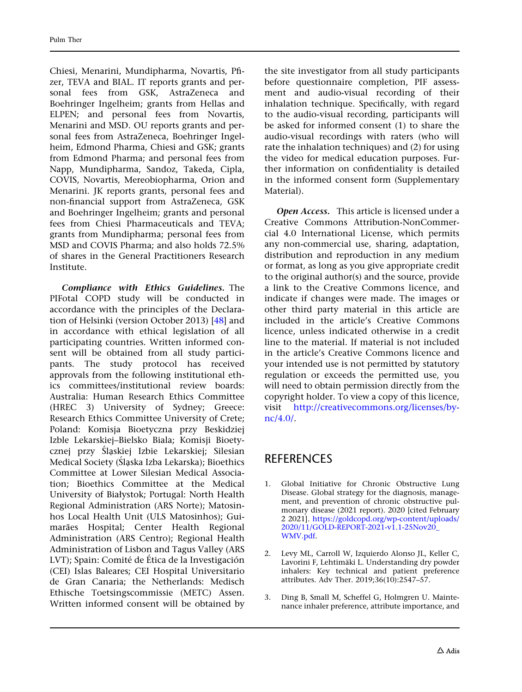<span id="page-12-0"></span>Chiesi, Menarini, Mundipharma, Novartis, Pfizer, TEVA and BIAL. IT reports grants and personal fees from GSK, AstraZeneca and Boehringer Ingelheim; grants from Hellas and ELPEN; and personal fees from Novartis, Menarini and MSD. OU reports grants and personal fees from AstraZeneca, Boehringer Ingelheim, Edmond Pharma, Chiesi and GSK; grants from Edmond Pharma; and personal fees from Napp, Mundipharma, Sandoz, Takeda, Cipla, COVIS, Novartis, Mereobiopharma, Orion and Menarini. JK reports grants, personal fees and non-financial support from AstraZeneca, GSK and Boehringer Ingelheim; grants and personal fees from Chiesi Pharmaceuticals and TEVA; grants from Mundipharma; personal fees from MSD and COVIS Pharma; and also holds 72.5% of shares in the General Practitioners Research Institute.

Compliance with Ethics Guidelines. The PIFotal COPD study will be conducted in accordance with the principles of the Declaration of Helsinki (version October 2013) [\[48\]](#page-14-0) and in accordance with ethical legislation of all participating countries. Written informed consent will be obtained from all study participants. The study protocol has received approvals from the following institutional ethics committees/institutional review boards: Australia: Human Research Ethics Committee (HREC 3) University of Sydney; Greece: Research Ethics Committee University of Crete; Poland: Komisja Bioetyczna przy Beskidziej Izble Lekarskiej–Bielsko Biala; Komisji Bioetycznej przy Ślaskiej Izbie Lekarskiej; Silesian Medical Society (Śląska Izba Lekarska); Bioethics Committee at Lower Silesian Medical Association; Bioethics Committee at the Medical University of Białystok; Portugal: North Health Regional Administration (ARS Norte); Matosinhos Local Health Unit (ULS Matosinhos); Guimarães Hospital; Center Health Regional Administration (ARS Centro); Regional Health Administration of Lisbon and Tagus Valley (ARS LVT); Spain: Comité de Ética de la Investigación (CEI) Islas Baleares; CEI Hospital Universitario de Gran Canaria; the Netherlands: Medisch Ethische Toetsingscommissie (METC) Assen. Written informed consent will be obtained by the site investigator from all study participants before questionnaire completion, PIF assessment and audio-visual recording of their inhalation technique. Specifically, with regard to the audio-visual recording, participants will be asked for informed consent (1) to share the audio-visual recordings with raters (who will rate the inhalation techniques) and (2) for using the video for medical education purposes. Further information on confidentiality is detailed in the informed consent form (Supplementary Material).

Open Access. This article is licensed under a Creative Commons Attribution-NonCommercial 4.0 International License, which permits any non-commercial use, sharing, adaptation, distribution and reproduction in any medium or format, as long as you give appropriate credit to the original author(s) and the source, provide a link to the Creative Commons licence, and indicate if changes were made. The images or other third party material in this article are included in the article's Creative Commons licence, unless indicated otherwise in a credit line to the material. If material is not included in the article's Creative Commons licence and your intended use is not permitted by statutory regulation or exceeds the permitted use, you will need to obtain permission directly from the copyright holder. To view a copy of this licence, visit [http://creativecommons.org/licenses/by](http://creativecommons.org/licenses/by-nc/4.0/)[nc/4.0/](http://creativecommons.org/licenses/by-nc/4.0/).

## **REFERENCES**

- 1. Global Initiative for Chronic Obstructive Lung Disease. Global strategy for the diagnosis, management, and prevention of chronic obstructive pulmonary disease (2021 report). 2020 [cited February 2 2021]. [https://goldcopd.org/wp-content/uploads/](https://goldcopd.org/wp-content/uploads/2020/11/GOLD-REPORT-2021-v1.1-25Nov20_WMV.pdf) [2020/11/GOLD-REPORT-2021-v1.1-25Nov20\\_](https://goldcopd.org/wp-content/uploads/2020/11/GOLD-REPORT-2021-v1.1-25Nov20_WMV.pdf) [WMV.pdf.](https://goldcopd.org/wp-content/uploads/2020/11/GOLD-REPORT-2021-v1.1-25Nov20_WMV.pdf)
- 2. Levy ML, Carroll W, Izquierdo Alonso JL, Keller C, Lavorini F, Lehtimäki L. Understanding dry powder inhalers: Key technical and patient preference attributes. Adv Ther. 2019;36(10):2547–57.
- 3. Ding B, Small M, Scheffel G, Holmgren U. Maintenance inhaler preference, attribute importance, and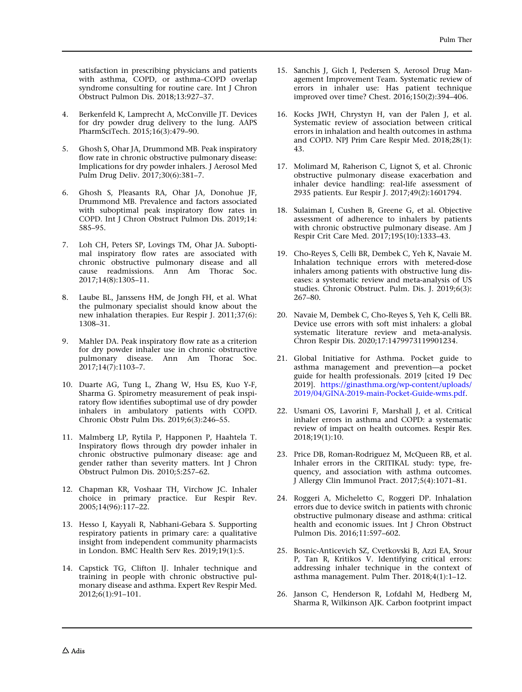<span id="page-13-0"></span>satisfaction in prescribing physicians and patients with asthma, COPD, or asthma–COPD overlap syndrome consulting for routine care. Int J Chron Obstruct Pulmon Dis. 2018;13:927–37.

- 4. Berkenfeld K, Lamprecht A, McConville JT. Devices for dry powder drug delivery to the lung. AAPS PharmSciTech. 2015;16(3):479–90.
- 5. Ghosh S, Ohar JA, Drummond MB. Peak inspiratory flow rate in chronic obstructive pulmonary disease: Implications for dry powder inhalers. J Aerosol Med Pulm Drug Deliv. 2017;30(6):381–7.
- 6. Ghosh S, Pleasants RA, Ohar JA, Donohue JF, Drummond MB. Prevalence and factors associated with suboptimal peak inspiratory flow rates in COPD. Int J Chron Obstruct Pulmon Dis. 2019;14: 585–95.
- 7. Loh CH, Peters SP, Lovings TM, Ohar JA. Suboptimal inspiratory flow rates are associated with chronic obstructive pulmonary disease and all cause readmissions. Ann Am Thorac Soc. 2017;14(8):1305–11.
- 8. Laube BL, Janssens HM, de Jongh FH, et al. What the pulmonary specialist should know about the new inhalation therapies. Eur Respir J. 2011;37(6): 1308–31.
- Mahler DA. Peak inspiratory flow rate as a criterion for dry powder inhaler use in chronic obstructive pulmonary disease. Ann Am Thorac Soc.  $2017;14(7):1103-7.$
- 10. Duarte AG, Tung L, Zhang W, Hsu ES, Kuo Y-F, Sharma G. Spirometry measurement of peak inspiratory flow identifies suboptimal use of dry powder inhalers in ambulatory patients with COPD. Chronic Obstr Pulm Dis. 2019;6(3):246–55.
- 11. Malmberg LP, Rytila P, Happonen P, Haahtela T. Inspiratory flows through dry powder inhaler in chronic obstructive pulmonary disease: age and gender rather than severity matters. Int J Chron Obstruct Pulmon Dis. 2010;5:257–62.
- 12. Chapman KR, Voshaar TH, Virchow JC. Inhaler choice in primary practice. Eur Respir Rev. 2005;14(96):117–22.
- 13. Hesso I, Kayyali R, Nabhani-Gebara S. Supporting respiratory patients in primary care: a qualitative insight from independent community pharmacists in London. BMC Health Serv Res. 2019;19(1):5.
- 14. Capstick TG, Clifton IJ. Inhaler technique and training in people with chronic obstructive pulmonary disease and asthma. Expert Rev Respir Med. 2012;6(1):91–101.
- 15. Sanchis J, Gich I, Pedersen S, Aerosol Drug Management Improvement Team. Systematic review of errors in inhaler use: Has patient technique improved over time? Chest. 2016;150(2):394–406.
- 16. Kocks JWH, Chrystyn H, van der Palen J, et al. Systematic review of association between critical errors in inhalation and health outcomes in asthma and COPD. NPJ Prim Care Respir Med. 2018;28(1): 43.
- 17. Molimard M, Raherison C, Lignot S, et al. Chronic obstructive pulmonary disease exacerbation and inhaler device handling: real-life assessment of 2935 patients. Eur Respir J. 2017;49(2):1601794.
- 18. Sulaiman I, Cushen B, Greene G, et al. Objective assessment of adherence to inhalers by patients with chronic obstructive pulmonary disease. Am J Respir Crit Care Med. 2017;195(10):1333–43.
- 19. Cho-Reyes S, Celli BR, Dembek C, Yeh K, Navaie M. Inhalation technique errors with metered-dose inhalers among patients with obstructive lung diseases: a systematic review and meta-analysis of US studies. Chronic Obstruct. Pulm. Dis. J. 2019;6(3): 267–80.
- 20. Navaie M, Dembek C, Cho-Reyes S, Yeh K, Celli BR. Device use errors with soft mist inhalers: a global systematic literature review and meta-analysis. Chron Respir Dis. 2020;17:1479973119901234.
- 21. Global Initiative for Asthma. Pocket guide to asthma management and prevention—a pocket guide for health professionals. 2019 [cited 19 Dec 2019]. [https://ginasthma.org/wp-content/uploads/](https://ginasthma.org/wp-content/uploads/2019/04/GINA-2019-main-Pocket-Guide-wms.pdf) [2019/04/GINA-2019-main-Pocket-Guide-wms.pdf](https://ginasthma.org/wp-content/uploads/2019/04/GINA-2019-main-Pocket-Guide-wms.pdf).
- 22. Usmani OS, Lavorini F, Marshall J, et al. Critical inhaler errors in asthma and COPD: a systematic review of impact on health outcomes. Respir Res. 2018;19(1):10.
- 23. Price DB, Roman-Rodriguez M, McQueen RB, et al. Inhaler errors in the CRITIKAL study: type, frequency, and association with asthma outcomes. J Allergy Clin Immunol Pract. 2017;5(4):1071–81.
- 24. Roggeri A, Micheletto C, Roggeri DP. Inhalation errors due to device switch in patients with chronic obstructive pulmonary disease and asthma: critical health and economic issues. Int J Chron Obstruct Pulmon Dis. 2016;11:597–602.
- 25. Bosnic-Anticevich SZ, Cvetkovski B, Azzi EA, Srour P, Tan R, Kritikos V. Identifying critical errors: addressing inhaler technique in the context of asthma management. Pulm Ther. 2018;4(1):1–12.
- 26. Janson C, Henderson R, Lofdahl M, Hedberg M, Sharma R, Wilkinson AJK. Carbon footprint impact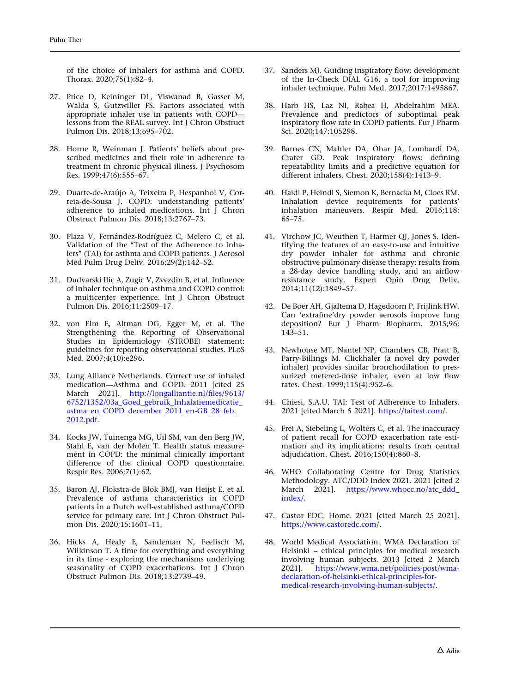<span id="page-14-0"></span>of the choice of inhalers for asthma and COPD. Thorax. 2020;75(1):82–4.

- 27. Price D, Keininger DL, Viswanad B, Gasser M, Walda S, Gutzwiller FS. Factors associated with appropriate inhaler use in patients with COPD lessons from the REAL survey. Int J Chron Obstruct Pulmon Dis. 2018;13:695–702.
- 28. Horne R, Weinman J. Patients' beliefs about prescribed medicines and their role in adherence to treatment in chronic physical illness. J Psychosom Res. 1999;47(6):555–67.
- 29. Duarte-de-Araújo A, Teixeira P, Hespanhol V, Correia-de-Sousa J. COPD: understanding patients' adherence to inhaled medications. Int  $\overline{I}$  Chron Obstruct Pulmon Dis. 2018;13:2767–73.
- 30. Plaza V, Fernández-Rodríguez C, Melero C, et al. Validation of the "Test of the Adherence to Inhalers'' (TAI) for asthma and COPD patients. J Aerosol Med Pulm Drug Deliv. 2016;29(2):142–52.
- 31. Dudvarski Ilic A, Zugic V, Zvezdin B, et al. Influence of inhaler technique on asthma and COPD control: a multicenter experience. Int J Chron Obstruct Pulmon Dis. 2016;11:2509–17.
- 32. von Elm E, Altman DG, Egger M, et al. The Strengthening the Reporting of Observational Studies in Epidemiology (STROBE) statement: guidelines for reporting observational studies. PLoS Med. 2007;4(10):e296.
- 33. Lung Alliance Netherlands. Correct use of inhaled medication—Asthma and COPD. 2011 [cited 25 March 2021]. [http://longalliantie.nl/files/9613/](http://longalliantie.nl/files/9613/6752/1352/03a_Goed_gebruik_Inhalatiemedicatie_astma_en_COPD_december_2011_en-GB_28_feb._2012.pdf) [6752/1352/03a\\_Goed\\_gebruik\\_Inhalatiemedicatie\\_](http://longalliantie.nl/files/9613/6752/1352/03a_Goed_gebruik_Inhalatiemedicatie_astma_en_COPD_december_2011_en-GB_28_feb._2012.pdf) [astma\\_en\\_COPD\\_december\\_2011\\_en-GB\\_28\\_feb.\\_](http://longalliantie.nl/files/9613/6752/1352/03a_Goed_gebruik_Inhalatiemedicatie_astma_en_COPD_december_2011_en-GB_28_feb._2012.pdf) [2012.pdf.](http://longalliantie.nl/files/9613/6752/1352/03a_Goed_gebruik_Inhalatiemedicatie_astma_en_COPD_december_2011_en-GB_28_feb._2012.pdf)
- 34. Kocks JW, Tuinenga MG, Uil SM, van den Berg JW, Stahl E, van der Molen T. Health status measurement in COPD: the minimal clinically important difference of the clinical COPD questionnaire. Respir Res. 2006;7(1):62.
- 35. Baron AJ, Flokstra-de Blok BMJ, van Heijst E, et al. Prevalence of asthma characteristics in COPD patients in a Dutch well-established asthma/COPD service for primary care. Int J Chron Obstruct Pulmon Dis. 2020;15:1601–11.
- 36. Hicks A, Healy E, Sandeman N, Feelisch M, Wilkinson T. A time for everything and everything in its time - exploring the mechanisms underlying seasonality of COPD exacerbations. Int J Chron Obstruct Pulmon Dis. 2018;13:2739–49.
- 37. Sanders MJ. Guiding inspiratory flow: development of the In-Check DIAL G16, a tool for improving inhaler technique. Pulm Med. 2017;2017:1495867.
- 38. Harb HS, Laz NI, Rabea H, Abdelrahim MEA. Prevalence and predictors of suboptimal peak inspiratory flow rate in COPD patients. Eur J Pharm Sci. 2020;147:105298.
- 39. Barnes CN, Mahler DA, Ohar JA, Lombardi DA, Crater GD. Peak inspiratory flows: defining repeatability limits and a predictive equation for different inhalers. Chest. 2020;158(4):1413–9.
- 40. Haidl P, Heindl S, Siemon K, Bernacka M, Cloes RM. Inhalation device requirements for patients' inhalation maneuvers. Respir Med. 2016;118: 65–75.
- 41. Virchow JC, Weuthen T, Harmer QJ, Jones S. Identifying the features of an easy-to-use and intuitive dry powder inhaler for asthma and chronic obstructive pulmonary disease therapy: results from a 28-day device handling study, and an airflow resistance study. Expert Opin Drug Deliv. 2014;11(12):1849–57.
- 42. De Boer AH, Gjaltema D, Hagedoorn P, Frijlink HW. Can 'extrafine'dry powder aerosols improve lung deposition? Eur J Pharm Biopharm. 2015;96: 143–51.
- 43. Newhouse MT, Nantel NP, Chambers CB, Pratt B, Parry-Billings M. Clickhaler (a novel dry powder inhaler) provides similar bronchodilation to pressurized metered-dose inhaler, even at low flow rates. Chest. 1999;115(4):952–6.
- 44. Chiesi, S.A.U. TAI: Test of Adherence to Inhalers. 2021 [cited March 5 2021]. <https://taitest.com/>.
- 45. Frei A, Siebeling L, Wolters C, et al. The inaccuracy of patient recall for COPD exacerbation rate estimation and its implications: results from central adjudication. Chest. 2016;150(4):860–8.
- 46. WHO Collaborating Centre for Drug Statistics Methodology. ATC/DDD Index 2021. 2021 [cited 2 March 2021]. [https://www.whocc.no/atc\\_ddd\\_](https://www.whocc.no/atc_ddd_index/) [index/.](https://www.whocc.no/atc_ddd_index/)
- 47. Castor EDC. Home. 2021 [cited March 25 2021]. <https://www.castoredc.com/>.
- 48. World Medical Association. WMA Declaration of Helsinki – ethical principles for medical research involving human subjects. 2013 [cited 2 March 2021]. [https://www.wma.net/policies-post/wma](https://www.wma.net/policies-post/wma-declaration-of-helsinki-ethical-principles-for-medical-research-involving-human-subjects/)[declaration-of-helsinki-ethical-principles-for](https://www.wma.net/policies-post/wma-declaration-of-helsinki-ethical-principles-for-medical-research-involving-human-subjects/)[medical-research-involving-human-subjects/](https://www.wma.net/policies-post/wma-declaration-of-helsinki-ethical-principles-for-medical-research-involving-human-subjects/).